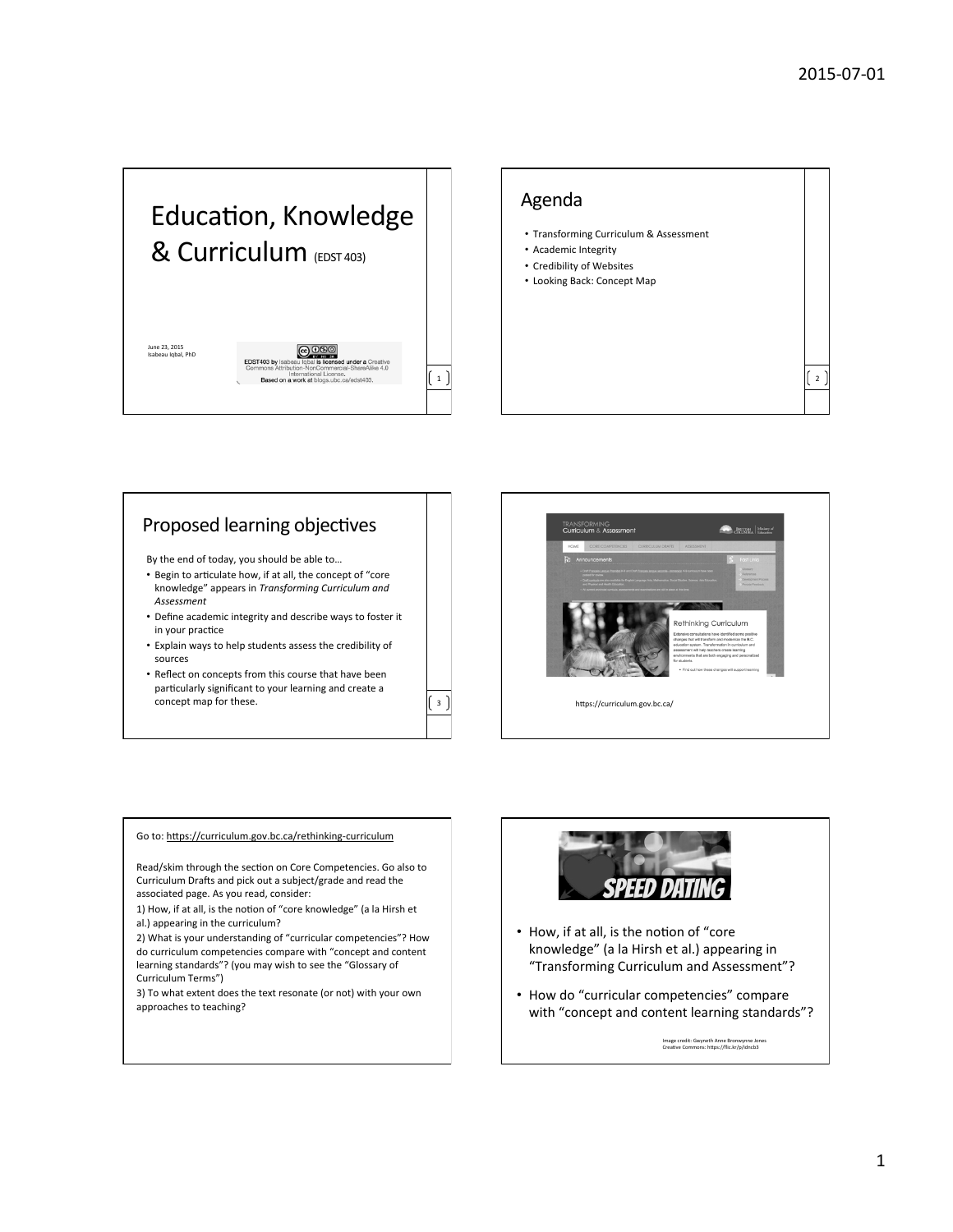



## Proposed learning objectives

By the end of today, you should be able to...

- Begin to articulate how, if at all, the concept of "core knowledge" appears in *Transforming Curriculum and Assessment*
- Define academic integrity and describe ways to foster it in your practice
- Explain ways to help students assess the credibility of sources
- Reflect on concepts from this course that have been particularly significant to your learning and create a concept map for these.  $\begin{bmatrix} 3 \end{bmatrix}$  https://curriculum.gov.bc.ca/



#### Go to: https://curriculum.gov.bc.ca/rethinking-curriculum

Read/skim through the section on Core Competencies. Go also to Curriculum Drafts and pick out a subject/grade and read the associated page. As you read, consider:

1) How, if at all, is the notion of "core knowledge" (a la Hirsh et al.) appearing in the curriculum?

2) What is your understanding of "curricular competencies"? How do curriculum competencies compare with "concept and content learning standards"? (you may wish to see the "Glossary of Curriculum Terms")

3) To what extent does the text resonate (or not) with your own approaches to teaching?



- How, if at all, is the notion of "core knowledge" (a la Hirsh et al.) appearing in "Transforming Curriculum and Assessment"?
- How do "curricular competencies" compare with "concept and content learning standards"?

Image credit: Gwyneth Anne Bronwynne Jones<br>Creative Commons: https://flic.kr/p/idncb3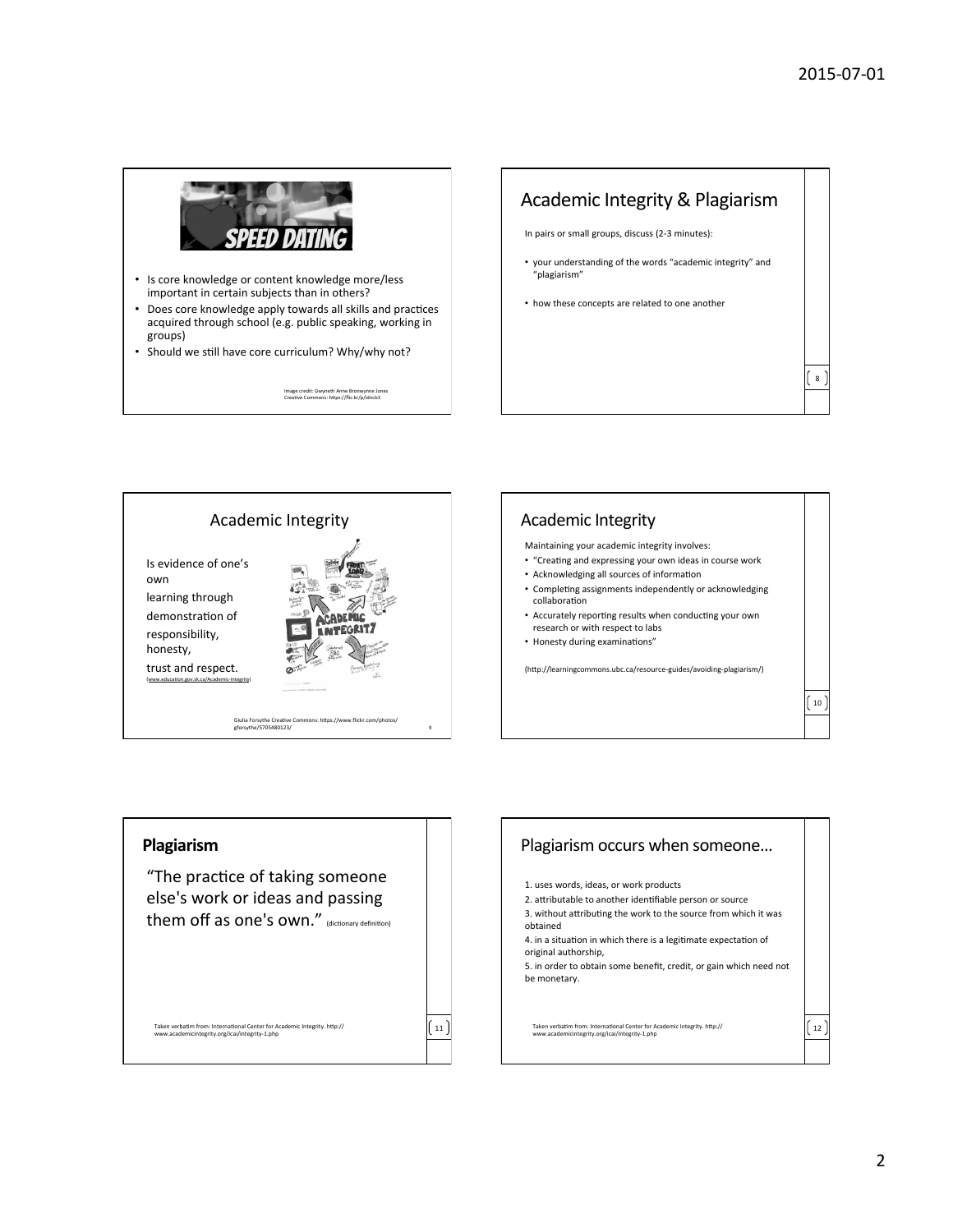8 



- Is core knowledge or content knowledge more/less important in certain subjects than in others?
- Does core knowledge apply towards all skills and practices acquired through school (e.g. public speaking, working in groups)
- Should we still have core curriculum? Why/why not?

Image credit: Gwyneth Anne Bronwynne Jones<br>Creative Commons: https://flic.kr/p/idncb3



- your understanding of the words "academic integrity" and "plagiarism"
- how these concepts are related to one another







"The practice of taking someone else's work or ideas and passing them off as one's own." (dictionary definition)

Taken verbatim from: International Center for Academic Integrity. http://<br>www.academicintegrity.org/icai/integrity-1.php

11 

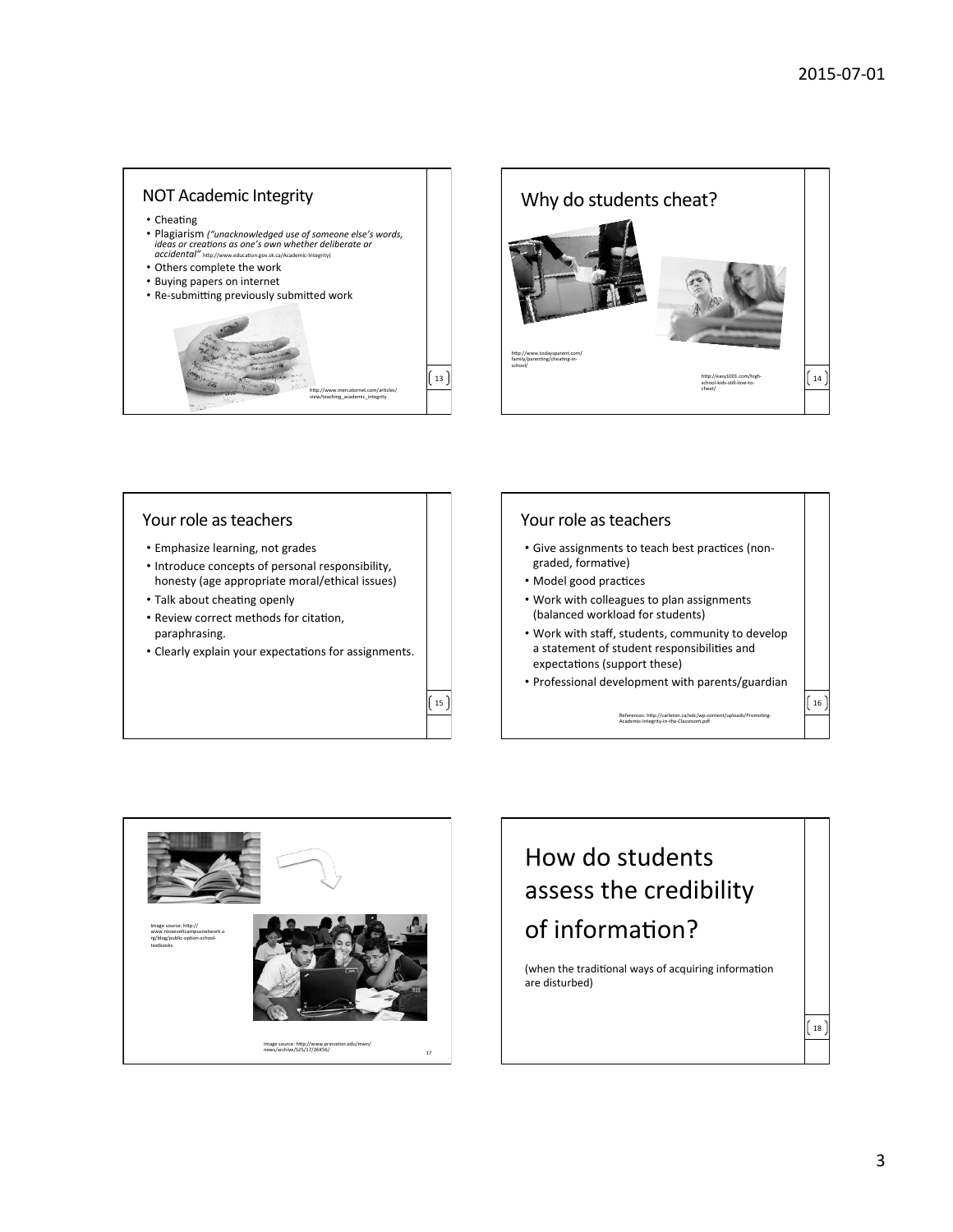







# How do students assess the credibility of information?

(when the traditional ways of acquiring information are disturbed)

 $18$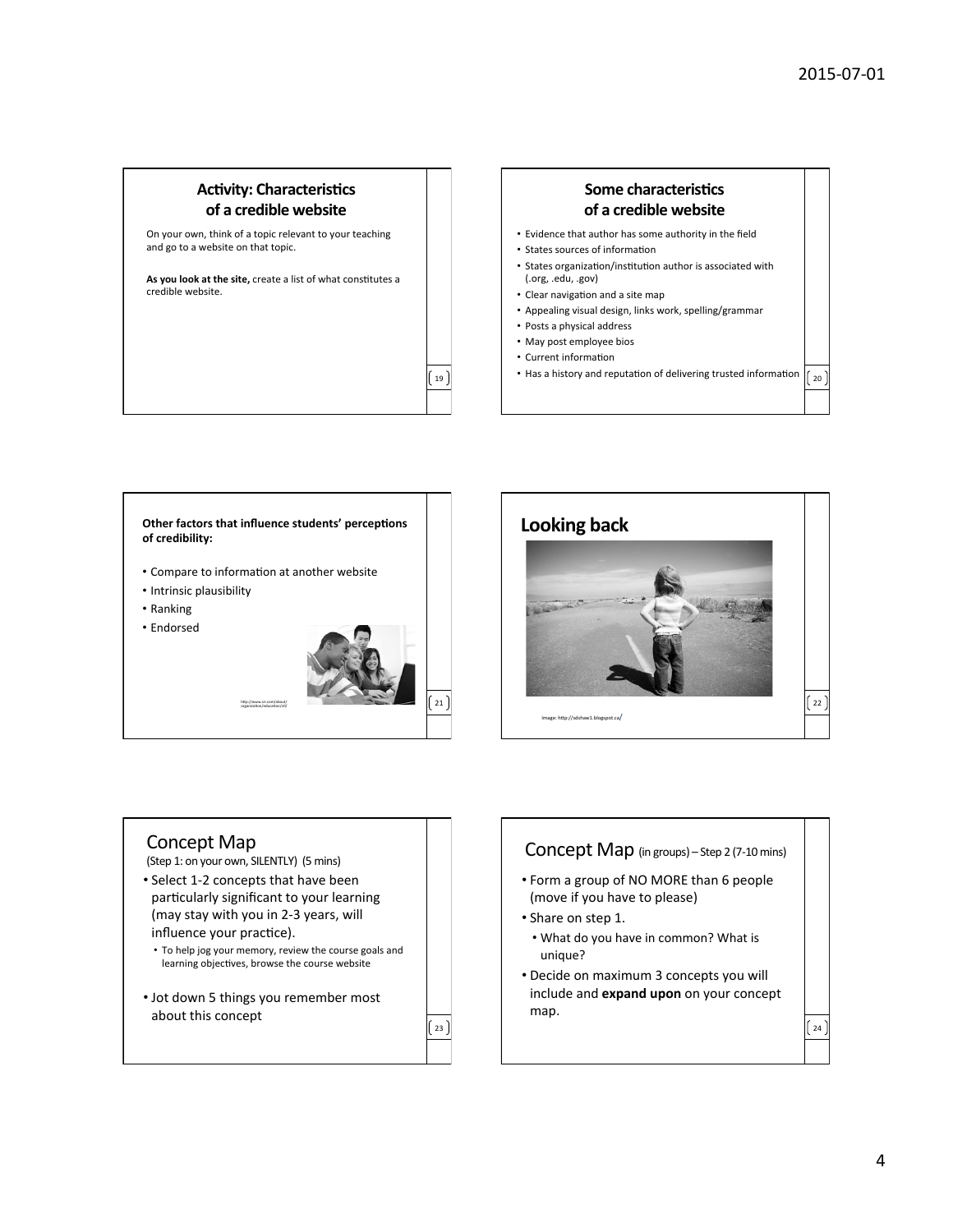#### **Activity: Characteristics** of a credible website

On your own, think of a topic relevant to your teaching and go to a website on that topic.

As you look at the site, create a list of what constitutes a credible website.

### **Some characteristics of a credible website** • Evidence that author has some authority in the field

- 
- States sources of information
- States organization/institution author is associated with (.org, .edu, .gov)
- Clear navigation and a site map
- Appealing visual design, links work, spelling/grammar
- Posts a physical address
- May post employee bios
- Current information

19 

23 

• Has a history and reputation of delivering trusted information  $\Big|_{20}$ 





#### Concept Map (Step 1: on your own, SILENTLY) (5 mins)

- Select 1-2 concepts that have been particularly significant to your learning (may stay with you in 2-3 years, will influence your practice).
- To help jog your memory, review the course goals and learning objectives, browse the course website
- Jot down 5 things you remember most about this concept

Concept Map (in groups) - Step 2 (7-10 mins)  $\int 24$ • Form a group of NO MORE than 6 people (move if you have to please) • Share on step 1. • What do you have in common? What is unique? • Decide on maximum 3 concepts you will include and **expand upon** on your concept map.